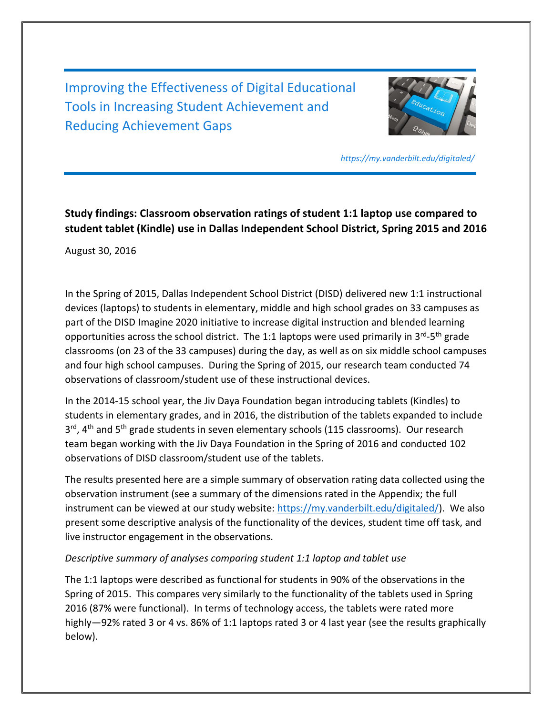Improving the Effectiveness of Digital Educational Tools in Increasing Student Achievement and Reducing Achievement Gaps



*https://my.vanderbilt.edu/digitaled/*

## **Study findings: Classroom observation ratings of student 1:1 laptop use compared to student tablet (Kindle) use in Dallas Independent School District, Spring 2015 and 2016**

August 30, 2016

In the Spring of 2015, Dallas Independent School District (DISD) delivered new 1:1 instructional devices (laptops) to students in elementary, middle and high school grades on 33 campuses as part of the DISD Imagine 2020 initiative to increase digital instruction and blended learning opportunities across the school district. The 1:1 laptops were used primarily in 3<sup>rd</sup>-5<sup>th</sup> grade classrooms (on 23 of the 33 campuses) during the day, as well as on six middle school campuses and four high school campuses. During the Spring of 2015, our research team conducted 74 observations of classroom/student use of these instructional devices.

In the 2014-15 school year, the Jiv Daya Foundation began introducing tablets (Kindles) to students in elementary grades, and in 2016, the distribution of the tablets expanded to include 3<sup>rd</sup>, 4<sup>th</sup> and 5<sup>th</sup> grade students in seven elementary schools (115 classrooms). Our research team began working with the Jiv Daya Foundation in the Spring of 2016 and conducted 102 observations of DISD classroom/student use of the tablets.

The results presented here are a simple summary of observation rating data collected using the observation instrument (see a summary of the dimensions rated in the Appendix; the full instrument can be viewed at our study website: [https://my.vanderbilt.edu/digitaled/\)](https://my.vanderbilt.edu/digitaled/). We also present some descriptive analysis of the functionality of the devices, student time off task, and live instructor engagement in the observations.

## *Descriptive summary of analyses comparing student 1:1 laptop and tablet use*

The 1:1 laptops were described as functional for students in 90% of the observations in the Spring of 2015. This compares very similarly to the functionality of the tablets used in Spring 2016 (87% were functional). In terms of technology access, the tablets were rated more highly—92% rated 3 or 4 vs. 86% of 1:1 laptops rated 3 or 4 last year (see the results graphically below).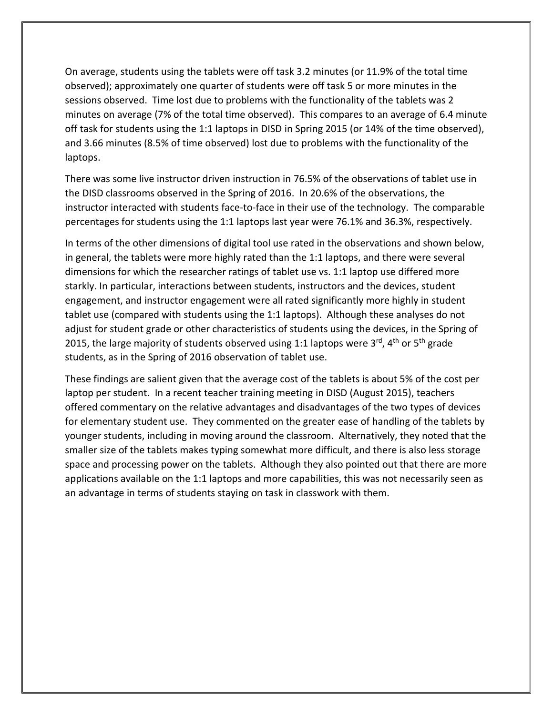On average, students using the tablets were off task 3.2 minutes (or 11.9% of the total time observed); approximately one quarter of students were off task 5 or more minutes in the sessions observed. Time lost due to problems with the functionality of the tablets was 2 minutes on average (7% of the total time observed). This compares to an average of 6.4 minute off task for students using the 1:1 laptops in DISD in Spring 2015 (or 14% of the time observed), and 3.66 minutes (8.5% of time observed) lost due to problems with the functionality of the laptops.

There was some live instructor driven instruction in 76.5% of the observations of tablet use in the DISD classrooms observed in the Spring of 2016. In 20.6% of the observations, the instructor interacted with students face-to-face in their use of the technology. The comparable percentages for students using the 1:1 laptops last year were 76.1% and 36.3%, respectively.

In terms of the other dimensions of digital tool use rated in the observations and shown below, in general, the tablets were more highly rated than the 1:1 laptops, and there were several dimensions for which the researcher ratings of tablet use vs. 1:1 laptop use differed more starkly. In particular, interactions between students, instructors and the devices, student engagement, and instructor engagement were all rated significantly more highly in student tablet use (compared with students using the 1:1 laptops). Although these analyses do not adjust for student grade or other characteristics of students using the devices, in the Spring of 2015, the large majority of students observed using 1:1 laptops were  $3^{rd}$ ,  $4^{th}$  or  $5^{th}$  grade students, as in the Spring of 2016 observation of tablet use.

These findings are salient given that the average cost of the tablets is about 5% of the cost per laptop per student. In a recent teacher training meeting in DISD (August 2015), teachers offered commentary on the relative advantages and disadvantages of the two types of devices for elementary student use. They commented on the greater ease of handling of the tablets by younger students, including in moving around the classroom. Alternatively, they noted that the smaller size of the tablets makes typing somewhat more difficult, and there is also less storage space and processing power on the tablets. Although they also pointed out that there are more applications available on the 1:1 laptops and more capabilities, this was not necessarily seen as an advantage in terms of students staying on task in classwork with them.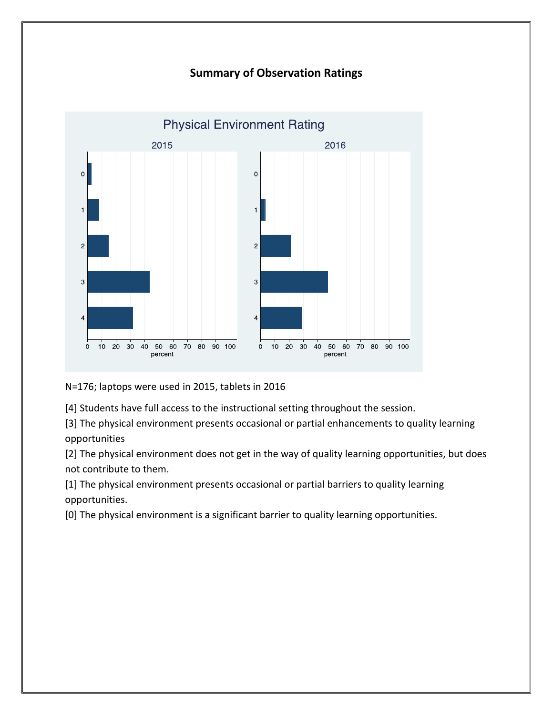## **Summary of Observation Ratings**



N=176; laptops were used in 2015, tablets in 2016

[4] Students have full access to the instructional setting throughout the session.

[3] The physical environment presents occasional or partial enhancements to quality learning opportunities

[2] The physical environment does not get in the way of quality learning opportunities, but does not contribute to them.

[1] The physical environment presents occasional or partial barriers to quality learning opportunities.

[0] The physical environment is a significant barrier to quality learning opportunities.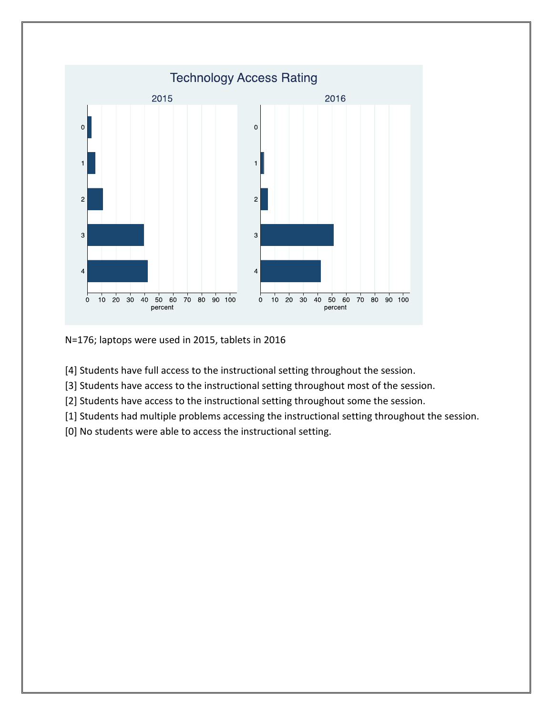

N=176; laptops were used in 2015, tablets in 2016

[4] Students have full access to the instructional setting throughout the session.

[3] Students have access to the instructional setting throughout most of the session.

[2] Students have access to the instructional setting throughout some the session.

[1] Students had multiple problems accessing the instructional setting throughout the session.

[0] No students were able to access the instructional setting.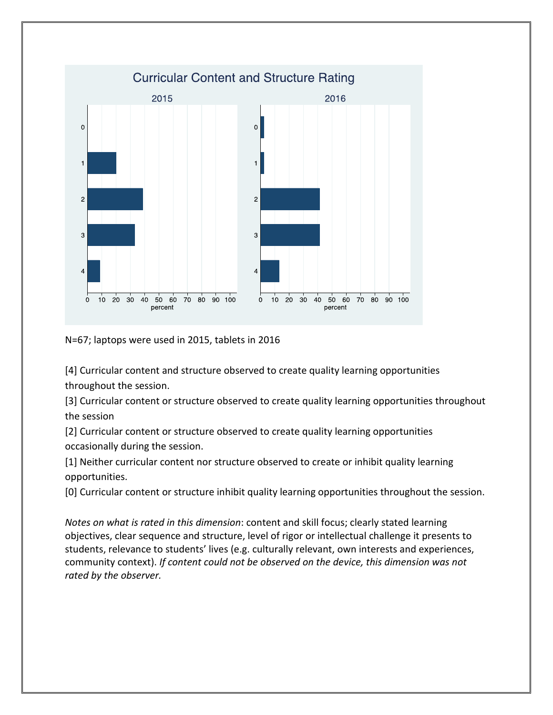

N=67; laptops were used in 2015, tablets in 2016

[4] Curricular content and structure observed to create quality learning opportunities throughout the session.

[3] Curricular content or structure observed to create quality learning opportunities throughout the session

[2] Curricular content or structure observed to create quality learning opportunities occasionally during the session.

[1] Neither curricular content nor structure observed to create or inhibit quality learning opportunities.

[0] Curricular content or structure inhibit quality learning opportunities throughout the session.

*Notes on what is rated in this dimension*: content and skill focus; clearly stated learning objectives, clear sequence and structure, level of rigor or intellectual challenge it presents to students, relevance to students' lives (e.g. culturally relevant, own interests and experiences, community context). *If content could not be observed on the device, this dimension was not rated by the observer.*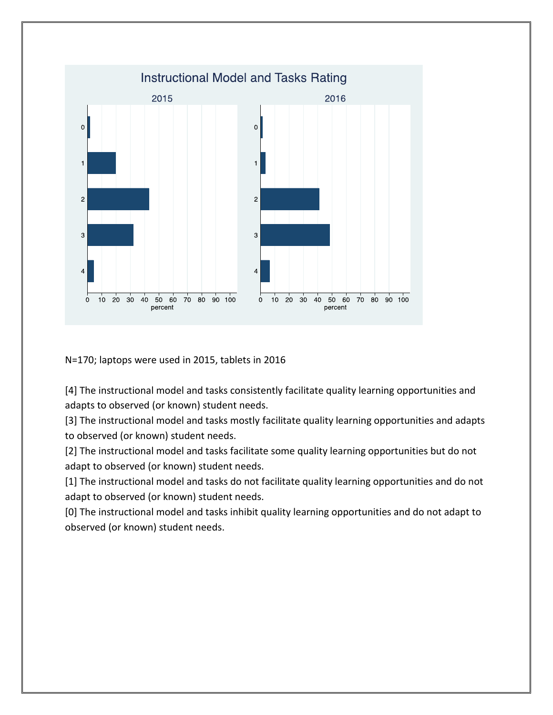

N=170; laptops were used in 2015, tablets in 2016

[4] The instructional model and tasks consistently facilitate quality learning opportunities and adapts to observed (or known) student needs.

[3] The instructional model and tasks mostly facilitate quality learning opportunities and adapts to observed (or known) student needs.

[2] The instructional model and tasks facilitate some quality learning opportunities but do not adapt to observed (or known) student needs.

[1] The instructional model and tasks do not facilitate quality learning opportunities and do not adapt to observed (or known) student needs.

[0] The instructional model and tasks inhibit quality learning opportunities and do not adapt to observed (or known) student needs.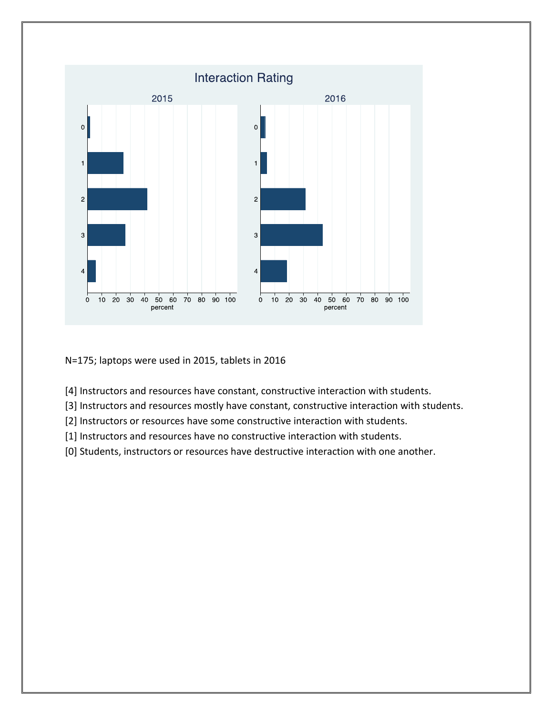

N=175; laptops were used in 2015, tablets in 2016

- [4] Instructors and resources have constant, constructive interaction with students.
- [3] Instructors and resources mostly have constant, constructive interaction with students.
- [2] Instructors or resources have some constructive interaction with students.
- [1] Instructors and resources have no constructive interaction with students.
- [0] Students, instructors or resources have destructive interaction with one another.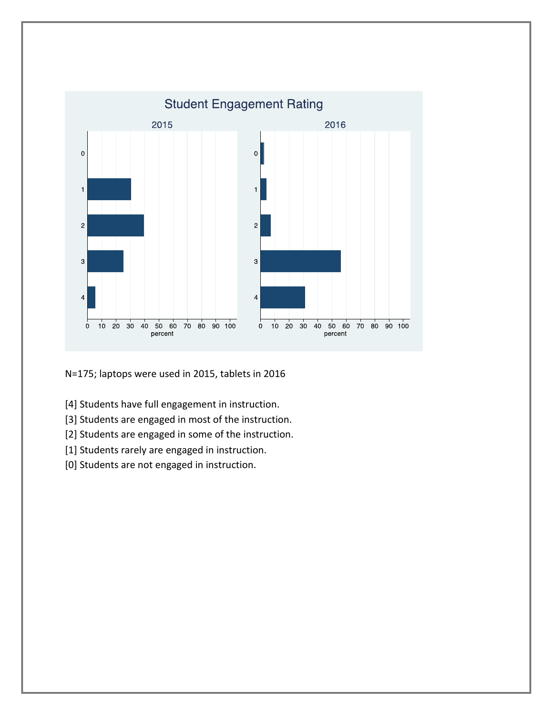

N=175; laptops were used in 2015, tablets in 2016

- [4] Students have full engagement in instruction.
- [3] Students are engaged in most of the instruction.
- [2] Students are engaged in some of the instruction.
- [1] Students rarely are engaged in instruction.
- [0] Students are not engaged in instruction.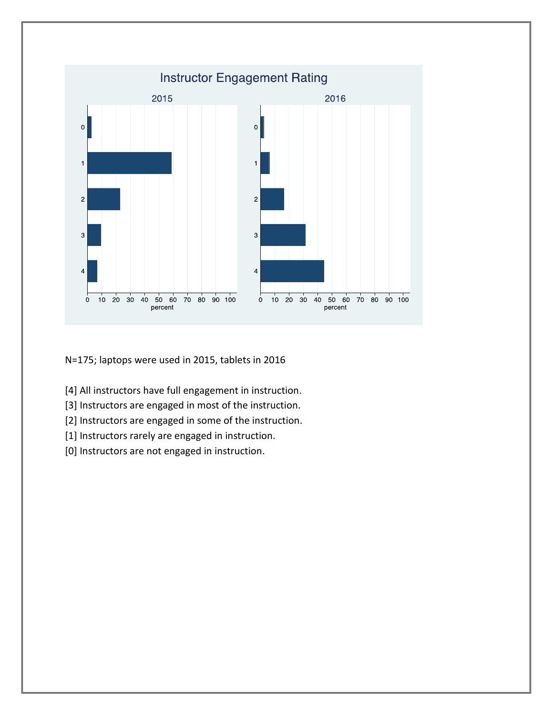

N=175; laptops were used in 2015, tablets in 2016

- [4] All instructors have full engagement in instruction.
- [3] Instructors are engaged in most of the instruction.
- [2] Instructors are engaged in some of the instruction.
- [1] Instructors rarely are engaged in instruction.
- [0] Instructors are not engaged in instruction.